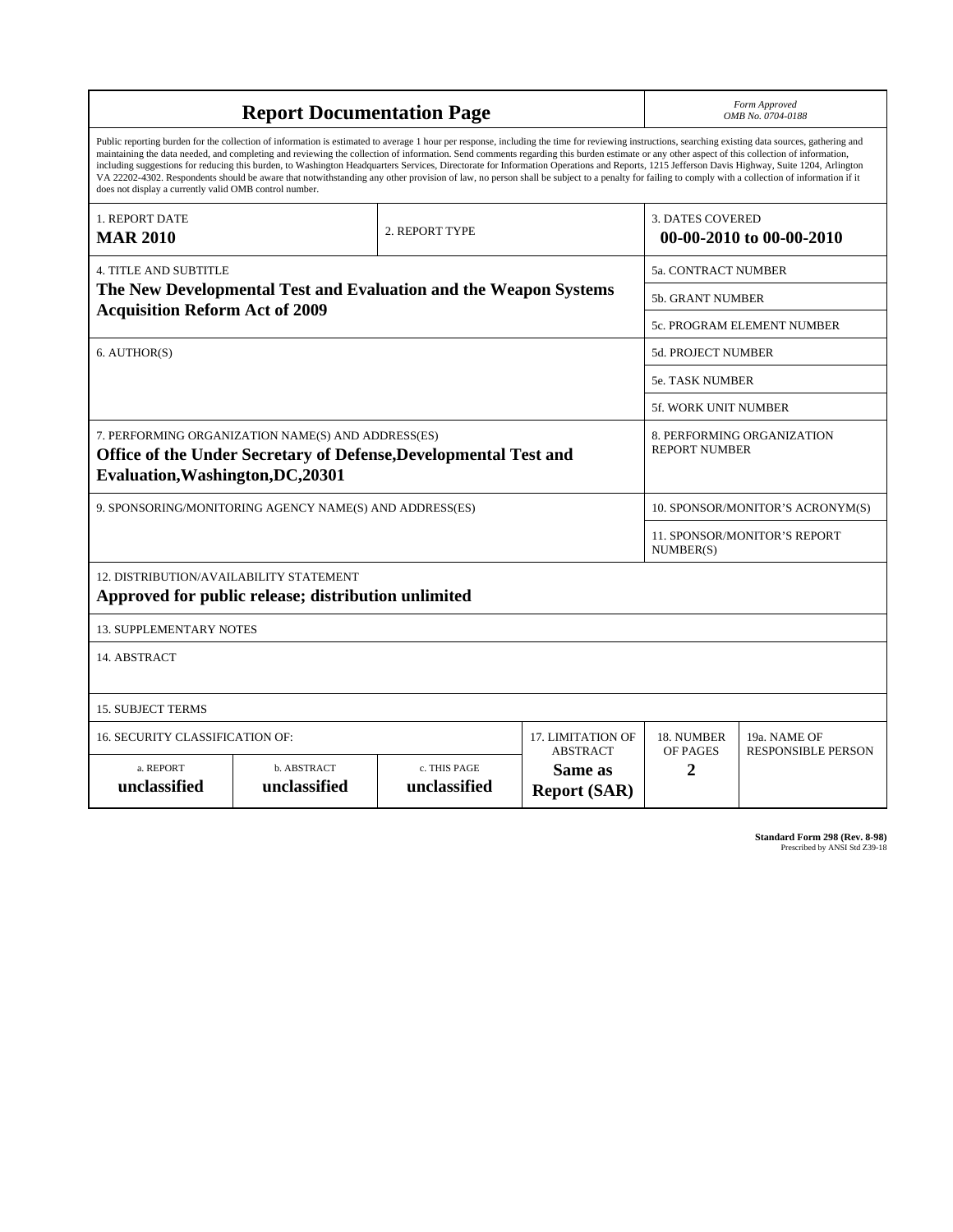| <b>Report Documentation Page</b>                                                                                                                                                                                                                                                                                                                                                                                                                                                                                                                                                                                                                                                                                                                                                                                                                                   |                             |                              |                                                   | Form Approved<br>OMB No. 0704-0188                  |                           |
|--------------------------------------------------------------------------------------------------------------------------------------------------------------------------------------------------------------------------------------------------------------------------------------------------------------------------------------------------------------------------------------------------------------------------------------------------------------------------------------------------------------------------------------------------------------------------------------------------------------------------------------------------------------------------------------------------------------------------------------------------------------------------------------------------------------------------------------------------------------------|-----------------------------|------------------------------|---------------------------------------------------|-----------------------------------------------------|---------------------------|
| Public reporting burden for the collection of information is estimated to average 1 hour per response, including the time for reviewing instructions, searching existing data sources, gathering and<br>maintaining the data needed, and completing and reviewing the collection of information. Send comments regarding this burden estimate or any other aspect of this collection of information,<br>including suggestions for reducing this burden, to Washington Headquarters Services, Directorate for Information Operations and Reports, 1215 Jefferson Davis Highway, Suite 1204, Arlington<br>VA 22202-4302. Respondents should be aware that notwithstanding any other provision of law, no person shall be subject to a penalty for failing to comply with a collection of information if it<br>does not display a currently valid OMB control number. |                             |                              |                                                   |                                                     |                           |
| 1. REPORT DATE<br><b>MAR 2010</b>                                                                                                                                                                                                                                                                                                                                                                                                                                                                                                                                                                                                                                                                                                                                                                                                                                  |                             | 2. REPORT TYPE               |                                                   | <b>3. DATES COVERED</b><br>00-00-2010 to 00-00-2010 |                           |
| <b>4. TITLE AND SUBTITLE</b>                                                                                                                                                                                                                                                                                                                                                                                                                                                                                                                                                                                                                                                                                                                                                                                                                                       |                             |                              |                                                   | 5a. CONTRACT NUMBER                                 |                           |
| The New Developmental Test and Evaluation and the Weapon Systems<br><b>Acquisition Reform Act of 2009</b>                                                                                                                                                                                                                                                                                                                                                                                                                                                                                                                                                                                                                                                                                                                                                          |                             |                              |                                                   | 5b. GRANT NUMBER                                    |                           |
|                                                                                                                                                                                                                                                                                                                                                                                                                                                                                                                                                                                                                                                                                                                                                                                                                                                                    |                             |                              |                                                   | 5c. PROGRAM ELEMENT NUMBER                          |                           |
| 6. AUTHOR(S)                                                                                                                                                                                                                                                                                                                                                                                                                                                                                                                                                                                                                                                                                                                                                                                                                                                       |                             |                              |                                                   | <b>5d. PROJECT NUMBER</b>                           |                           |
|                                                                                                                                                                                                                                                                                                                                                                                                                                                                                                                                                                                                                                                                                                                                                                                                                                                                    |                             |                              |                                                   | <b>5e. TASK NUMBER</b>                              |                           |
|                                                                                                                                                                                                                                                                                                                                                                                                                                                                                                                                                                                                                                                                                                                                                                                                                                                                    |                             |                              |                                                   | <b>5f. WORK UNIT NUMBER</b>                         |                           |
| 7. PERFORMING ORGANIZATION NAME(S) AND ADDRESS(ES)<br>Office of the Under Secretary of Defense, Developmental Test and<br>Evaluation, Washington, DC, 20301                                                                                                                                                                                                                                                                                                                                                                                                                                                                                                                                                                                                                                                                                                        |                             |                              |                                                   | 8. PERFORMING ORGANIZATION<br><b>REPORT NUMBER</b>  |                           |
| 9. SPONSORING/MONITORING AGENCY NAME(S) AND ADDRESS(ES)                                                                                                                                                                                                                                                                                                                                                                                                                                                                                                                                                                                                                                                                                                                                                                                                            |                             |                              |                                                   | 10. SPONSOR/MONITOR'S ACRONYM(S)                    |                           |
|                                                                                                                                                                                                                                                                                                                                                                                                                                                                                                                                                                                                                                                                                                                                                                                                                                                                    |                             |                              |                                                   | 11. SPONSOR/MONITOR'S REPORT<br>NUMBER(S)           |                           |
| 12. DISTRIBUTION/AVAILABILITY STATEMENT<br>Approved for public release; distribution unlimited                                                                                                                                                                                                                                                                                                                                                                                                                                                                                                                                                                                                                                                                                                                                                                     |                             |                              |                                                   |                                                     |                           |
| <b>13. SUPPLEMENTARY NOTES</b>                                                                                                                                                                                                                                                                                                                                                                                                                                                                                                                                                                                                                                                                                                                                                                                                                                     |                             |                              |                                                   |                                                     |                           |
| 14. ABSTRACT                                                                                                                                                                                                                                                                                                                                                                                                                                                                                                                                                                                                                                                                                                                                                                                                                                                       |                             |                              |                                                   |                                                     |                           |
| <b>15. SUBJECT TERMS</b>                                                                                                                                                                                                                                                                                                                                                                                                                                                                                                                                                                                                                                                                                                                                                                                                                                           |                             |                              |                                                   |                                                     |                           |
| 16. SECURITY CLASSIFICATION OF:<br>17. LIMITATION OF                                                                                                                                                                                                                                                                                                                                                                                                                                                                                                                                                                                                                                                                                                                                                                                                               |                             |                              |                                                   | 18. NUMBER                                          | 19a. NAME OF              |
| a. REPORT<br>unclassified                                                                                                                                                                                                                                                                                                                                                                                                                                                                                                                                                                                                                                                                                                                                                                                                                                          | b. ABSTRACT<br>unclassified | c. THIS PAGE<br>unclassified | <b>ABSTRACT</b><br>Same as<br><b>Report (SAR)</b> | OF PAGES<br>2                                       | <b>RESPONSIBLE PERSON</b> |

**Standard Form 298 (Rev. 8-98)**<br>Prescribed by ANSI Std Z39-18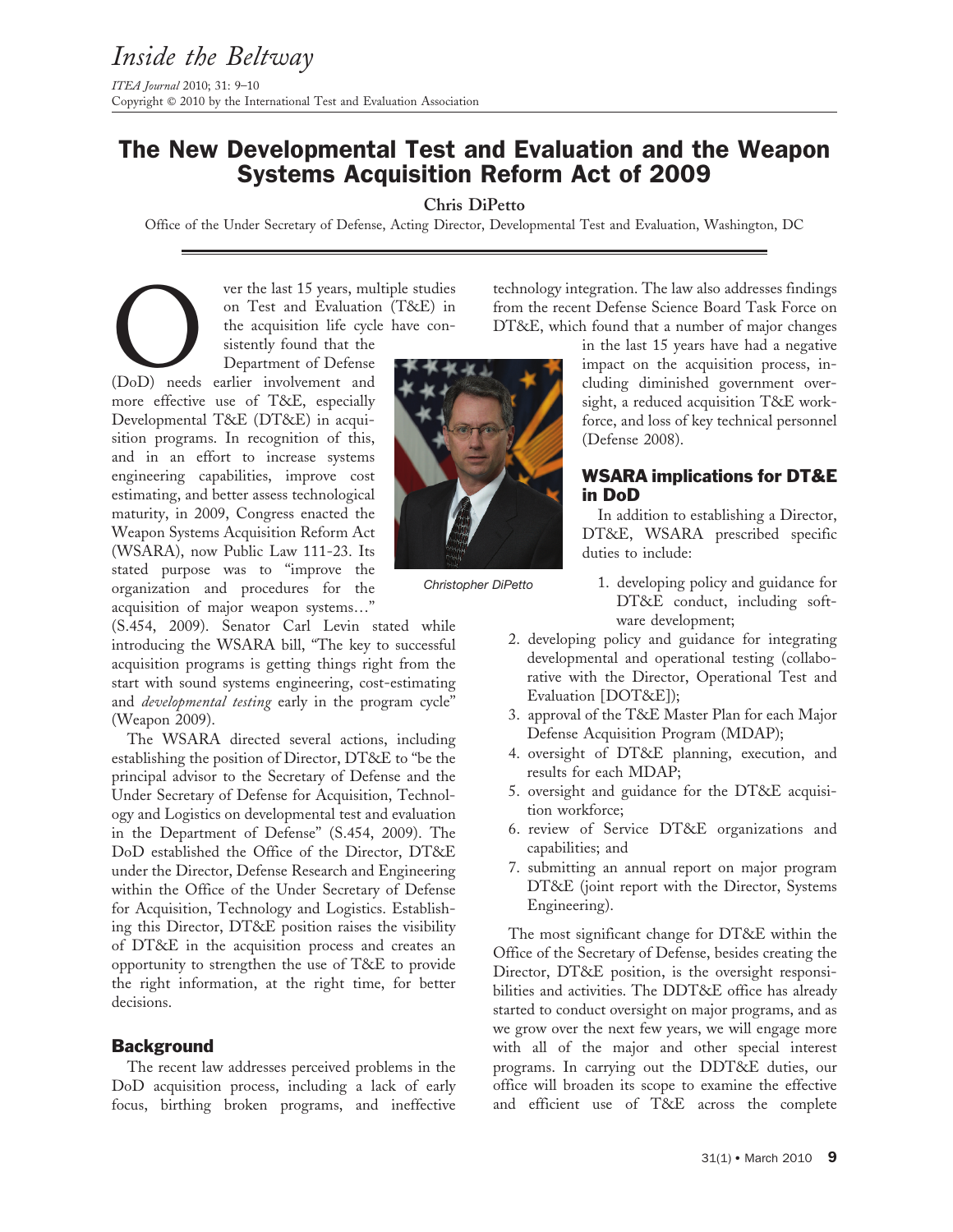# The New Developmental Test and Evaluation and the Weapon Systems Acquisition Reform Act of 2009

Chris DiPetto

Office of the Under Secretary of Defense, Acting Director, Developmental Test and Evaluation, Washington, DC

Ver the last 15 years, multiple studies<br>
on Test and Evaluation (T&E) in<br>
the acquisition life cycle have consistently found that the<br>
Department of Defense<br>
(DoD) needs earlier involvement and on Test and Evaluation (T&E) in the acquisition life cycle have consistently found that the

Department of Defense more effective use of T&E, especially Developmental T&E (DT&E) in acquisition programs. In recognition of this, and in an effort to increase systems engineering capabilities, improve cost estimating, and better assess technological maturity, in 2009, Congress enacted the Weapon Systems Acquisition Reform Act (WSARA), now Public Law 111-23. Its stated purpose was to ''improve the organization and procedures for the acquisition of major weapon systems…''

(S.454, 2009). Senator Carl Levin stated while introducing the WSARA bill, "The key to successful acquisition programs is getting things right from the start with sound systems engineering, cost-estimating and *developmental testing* early in the program cycle" (Weapon 2009).

The WSARA directed several actions, including establishing the position of Director, DT&E to ''be the principal advisor to the Secretary of Defense and the Under Secretary of Defense for Acquisition, Technology and Logistics on developmental test and evaluation in the Department of Defense'' (S.454, 2009). The DoD established the Office of the Director, DT&E under the Director, Defense Research and Engineering within the Office of the Under Secretary of Defense for Acquisition, Technology and Logistics. Establishing this Director, DT&E position raises the visibility of DT&E in the acquisition process and creates an opportunity to strengthen the use of T&E to provide the right information, at the right time, for better decisions.

### **Background**

The recent law addresses perceived problems in the DoD acquisition process, including a lack of early focus, birthing broken programs, and ineffective



Christopher DiPetto

technology integration. The law also addresses findings from the recent Defense Science Board Task Force on DT&E, which found that a number of major changes

> in the last 15 years have had a negative impact on the acquisition process, including diminished government oversight, a reduced acquisition T&E workforce, and loss of key technical personnel (Defense 2008).

## WSARA implications for DT&E in DoD

In addition to establishing a Director, DT&E, WSARA prescribed specific duties to include:

- 1. developing policy and guidance for DT&E conduct, including software development;
- 2. developing policy and guidance for integrating developmental and operational testing (collaborative with the Director, Operational Test and Evaluation [DOT&E]);
- 3. approval of the T&E Master Plan for each Major Defense Acquisition Program (MDAP);
- 4. oversight of DT&E planning, execution, and results for each MDAP;
- 5. oversight and guidance for the DT&E acquisition workforce;
- 6. review of Service DT&E organizations and capabilities; and
- 7. submitting an annual report on major program DT&E (joint report with the Director, Systems Engineering).

The most significant change for DT&E within the Office of the Secretary of Defense, besides creating the Director, DT&E position, is the oversight responsibilities and activities. The DDT&E office has already started to conduct oversight on major programs, and as we grow over the next few years, we will engage more with all of the major and other special interest programs. In carrying out the DDT&E duties, our office will broaden its scope to examine the effective and efficient use of T&E across the complete